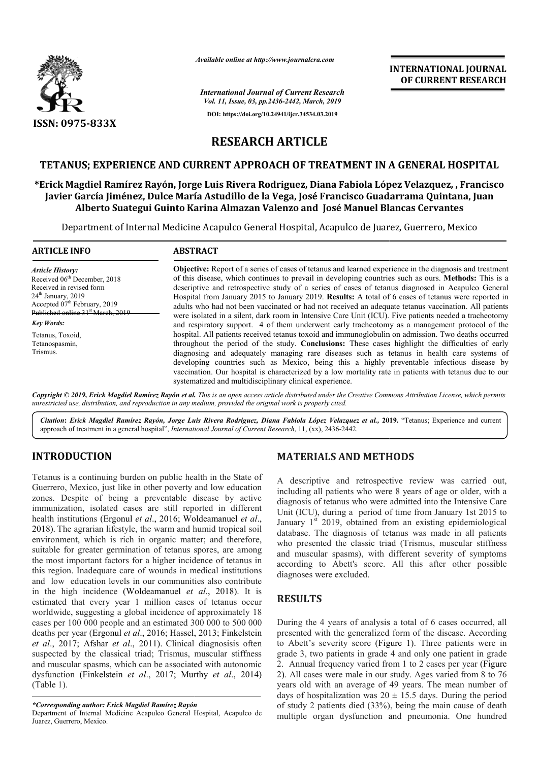

*Available online at http://www.journalcra.com*

**INTERNATIONAL JOURNAL OF CURRENT RESEARCH**

*International Journal of Current Research*

*Vol. 11, Issue, 03, pp.2436-2442, March, 2019* **DOI: https://doi.org/10.24941/ijcr.34534.03.2019**

**RESEARCH ARTICLE**

### **TETANUS; EXPERIENCE AND CURRENT APPROACH OF TREATMENT IN A GENERAL HOSPITAL**

**\*Erick Magdiel Ramírez Rayón, Jorge Luis Rivera Rodriguez, Diana Fabiola López Velazquez, , Francisco**  TETANUS; EXPERIENCE AND CURRENT APPROACH OF TREATMENT IN A GENERAL HOSPITAL<br>Erick Magdiel Ramírez Rayón, Jorge Luis Rivera Rodriguez, Diana Fabiola López Velazquez, , Francisc<br>Javier García Jiménez, Dulce María Astudillo d **Alberto Suategui Guinto Karina Almazan Valenzo and José Manuel Blancas Cervantes Blancas Cervantes**

Department of Internal Medicine Acapulco General Hospital, Acapulco de Juarez, Guerrero, Mexico

| <b>ARTICLE INFO</b>                                                                                                                                                                                                                                                                         | <b>ABSTRACT</b>                                                                                                                                                                                                                                                                                                                                                                                                                                                                                                                                                                                                                                                                                                                                       |  |  |  |
|---------------------------------------------------------------------------------------------------------------------------------------------------------------------------------------------------------------------------------------------------------------------------------------------|-------------------------------------------------------------------------------------------------------------------------------------------------------------------------------------------------------------------------------------------------------------------------------------------------------------------------------------------------------------------------------------------------------------------------------------------------------------------------------------------------------------------------------------------------------------------------------------------------------------------------------------------------------------------------------------------------------------------------------------------------------|--|--|--|
| <b>Article History:</b><br>Received 06 <sup>th</sup> December, 2018<br>Received in revised form<br>$24th$ January, 2019<br>Accepted 07 <sup>th</sup> February, 2019<br>Published online 31 <sup>st</sup> March, 2019<br><b>Key Words:</b><br>Tetanus, Toxoid,<br>Tetanospasmin,<br>Trismus. | <b>Objective:</b> Report of a series of cases of tetanus and learned experience in the diagnosis and treatment<br>of this disease, which continues to prevail in developing countries such as ours. Methods: This is a<br>descriptive and retrospective study of a series of cases of tetanus diagnosed in Acapulco General<br>Hospital from January 2015 to January 2019. Results: A total of 6 cases of tetanus were reported in<br>adults who had not been vaccinated or had not received an adequate tetanus vaccination. All patients<br>were isolated in a silent, dark room in Intensive Care Unit (ICU). Five patients needed a tracheotomy<br>and respiratory support. 4 of them underwent early tracheotomy as a management protocol of the |  |  |  |
|                                                                                                                                                                                                                                                                                             | hospital. All patients received tetanus toxoid and immunoglobulin on admission. Two deaths occurred<br>throughout the period of the study. Conclusions: These cases highlight the difficulties of early<br>diagnosing and adequately managing rare diseases such as tetanus in health care systems of<br>developing countries such as Mexico, being this a highly preventable infectious disease by<br>vaccination. Our hospital is characterized by a low mortality rate in patients with tetanus due to our<br>systematized and multidisciplinary clinical experience.                                                                                                                                                                              |  |  |  |

Copyright © 2019, Erick Magdiel Ramírez Rayón et al. This is an open access article distributed under the Creative Commons Attribution License, which permits *unrestricted use, distribution, and reproduction in any medium, provided the original work is properly cited.*

*Citation***:** *Erick Magdiel Ramírez Rayón, Jorge Luis Rivera Rodriguez, Diana Fabiola López Velazquez et al.,* **2019.** "Tetanus; Experience and current approach of treatment in a general hospital", *International Journal of Current Research* , 11, (xx), 2436-2442.

## **INTRODUCTION**

Tetanus is a continuing burden on public health in the State of Guerrero, Mexico, just like in other poverty and low education zones. Despite of being a preventable disease by active immunization, isolated cases are still reported in different health institutions (Ergonul *et al*., 2016; Woldeamanuel *et al*., 2018). The agrarian lifestyle, the warm and humid tropical soil environment, which is rich in organic matter; and therefore, suitable for greater germination of tetanus spores, are among the most important factors for a higher incidence of tetanus in this region. Inadequate care of wounds in medical institutions and low education levels in our communities also contribute in the high incidence (Woldeamanuel *et al* ., 2018). It is estimated that every year 1 million cases of tetanus occur worldwide, suggesting a global incidence of approximately 18 cases per 100 000 people and an estimated 300 000 to 500 000 deaths per year (Ergonul *et al*., 2016; Hassel, 2013; Finkelstein *et al*., 2017; Afshar *et al*., 2011). Clinical diagnosisis often suspected by the classical triad; Trismus, muscular stiffness and muscular spasms, which can be associated with autonomic dysfunction (Finkelstein *et al*., 2017; Murthy *et al*., 2014) (Table 1). el, 20<br>al di<br>, mu<br>ated

## **MATERIALS AND METHODS METHODS**

A descriptive and retrospective review was carried out, including all patients who were 8 years of age or older, with a diagnosis of tetanus who were admitted into the Intensive Care Unit (ICU), during a period of time from January 1st 2015 to January  $1<sup>st</sup>$  2019, obtained from an existing epidemiological database. The diagnosis of tetanus was made in all patients who presented the classic triad (Trismus, muscular stiffness and muscular spasms), with different severity of symptoms according to Abett's score. All this after other possible diagnoses were excluded. descriptive and retrospective review was carried out, uding all patients who were 8 years of age or older, with a gnosis of tetanus who were admitted into the Intensive Care (ICU), during a period of time from January 1st 2015 to ary  $1^{st}$  2019, obtained from an existing epidemiological pase. The diagnosis of tetanus was made in all patients presented the classic triad (Trismus, muscular sti

## **RESULTS**

During the 4 years of analysis a total of 6 cases occurred, all presented with the generalized form of the disease. According to Abett's severity score (Figure 1). Three patients were in grade 3, two patients in grade 4 and only one patient in grade<br>2. Annual frequency varied from 1 to 2 cases per year (Figure 2. Annual frequency varied from 1 to 2 cases per year (Figure) 2). All cases were male in our study. Ages varied from 8 to 76 years old with an average of 49 years. The mean number of days of hospitalization was  $20 \pm 15.5$  days. During the period of study 2 patients died (33%), being the main cause of death multiple organ dysfunction and pneumonia. One hundred ere male in our study. Ages varied from 8 to 76 an average of 49 years. The mean number of lization was  $20 \pm 15.5$  days. During the period

*<sup>\*</sup>Corresponding author: Erick Magdiel Ramírez Rayón*

Department of Internal Medicine Acapulco General Hospital, Acapulco de Juarez, Guerrero, Mexico.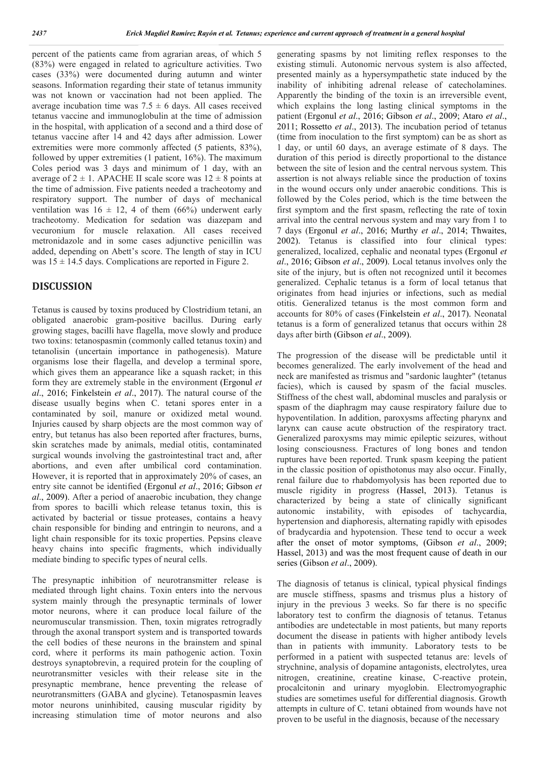percent of the patients came from agrarian areas, of which 5 (83%) were engaged in related to agriculture activities. Two cases (33%) were documented during autumn and winter seasons. Information regarding their state of tetanus immunity was not known or vaccination had not been applied. The average incubation time was  $7.5 \pm 6$  days. All cases received tetanus vaccine and immunoglobulin at the time of admission in the hospital, with application of a second and a third dose of tetanus vaccine after 14 and 42 days after admission. Lower extremities were more commonly affected (5 patients, 83%), followed by upper extremities (1 patient, 16%). The maximum Coles period was 3 days and minimum of 1 day, with an average of  $2 \pm 1$ . APACHE II scale score was  $12 \pm 8$  points at the time of admission. Five patients needed a tracheotomy and respiratory support. The number of days of mechanical ventilation was  $16 \pm 12$ , 4 of them (66%) underwent early tracheotomy. Medication for sedation was diazepam and vecuronium for muscle relaxation. All cases received metronidazole and in some cases adjunctive penicillin was added, depending on Abett's score. The length of stay in ICU was  $15 \pm 14.5$  days. Complications are reported in Figure 2.

### **DISCUSSION**

Tetanus is caused by toxins produced by Clostridium tetani, an obligated anaerobic gram-positive bacillus. During early growing stages, bacilli have flagella, move slowly and produce two toxins: tetanospasmin (commonly called tetanus toxin) and tetanolisin (uncertain importance in pathogenesis). Mature organisms lose their flagella, and develop a terminal spore, which gives them an appearance like a squash racket; in this form they are extremely stable in the environment (Ergonul *et al*., 2016; Finkelstein *et al*., 2017). The natural course of the disease usually begins when C. tetani spores enter in a contaminated by soil, manure or oxidized metal wound. Injuries caused by sharp objects are the most common way of entry, but tetanus has also been reported after fractures, burns, skin scratches made by animals, medial otitis, contaminated surgical wounds involving the gastrointestinal tract and, after abortions, and even after umbilical cord contamination. However, it is reported that in approximately 20% of cases, an entry site cannot be identified (Ergonul *et al*., 2016; Gibson *et al*., 2009). After a period of anaerobic incubation, they change from spores to bacilli which release tetanus toxin, this is activated by bacterial or tissue proteases, contains a heavy chain responsible for binding and entringin to neurons, and a light chain responsible for its toxic properties. Pepsins cleave heavy chains into specific fragments, which individually mediate binding to specific types of neural cells.

The presynaptic inhibition of neurotransmitter release is mediated through light chains. Toxin enters into the nervous system mainly through the presynaptic terminals of lower motor neurons, where it can produce local failure of the neuromuscular transmission. Then, toxin migrates retrogradly through the axonal transport system and is transported towards the cell bodies of these neurons in the brainstem and spinal cord, where it performs its main pathogenic action. Toxin destroys synaptobrevin, a required protein for the coupling of neurotransmitter vesicles with their release site in the presynaptic membrane, hence preventing the release of neurotransmitters (GABA and glycine). Tetanospasmin leaves motor neurons uninhibited, causing muscular rigidity by increasing stimulation time of motor neurons and also

generating spasms by not limiting reflex responses to the existing stimuli. Autonomic nervous system is also affected, presented mainly as a hypersympathetic state induced by the inability of inhibiting adrenal release of catecholamines. Apparently the binding of the toxin is an irreversible event, which explains the long lasting clinical symptoms in the patient (Ergonul *et al*., 2016; Gibson *et al*., 2009; Ataro *et al*., 2011; Rossetto *et al*., 2013). The incubation period of tetanus (time from inoculation to the first symptom) can be as short as 1 day, or until 60 days, an average estimate of 8 days. The duration of this period is directly proportional to the distance between the site of lesion and the central nervous system. This assertion is not always reliable since the production of toxins in the wound occurs only under anaerobic conditions. This is followed by the Coles period, which is the time between the first symptom and the first spasm, reflecting the rate of toxin arrival into the central nervous system and may vary from 1 to 7 days (Ergonul *et al*., 2016; Murthy *et al*., 2014; Thwaites, 2002). Tetanus is classified into four clinical types: generalized, localized, cephalic and neonatal types (Ergonul *et al*., 2016; Gibson *et al*., 2009). Local tetanus involves only the site of the injury, but is often not recognized until it becomes generalized. Cephalic tetanus is a form of local tetanus that originates from head injuries or infections, such as medial otitis. Generalized tetanus is the most common form and accounts for 80% of cases (Finkelstein *et al*., 2017). Neonatal tetanus is a form of generalized tetanus that occurs within 28 days after birth (Gibson *et al*., 2009).

The progression of the disease will be predictable until it becomes generalized. The early involvement of the head and neck are manifested as trismus and "sardonic laughter" (tetanus facies), which is caused by spasm of the facial muscles. Stiffness of the chest wall, abdominal muscles and paralysis or spasm of the diaphragm may cause respiratory failure due to hypoventilation. In addition, paroxysms affecting pharynx and larynx can cause acute obstruction of the respiratory tract. Generalized paroxysms may mimic epileptic seizures, without losing consciousness. Fractures of long bones and tendon ruptures have been reported. Trunk spasm keeping the patient in the classic position of opisthotonus may also occur. Finally, renal failure due to rhabdomyolysis has been reported due to muscle rigidity in progress (Hassel, 2013). Tetanus is characterized by being a state of clinically significant autonomic instability, with episodes of tachycardia, hypertension and diaphoresis, alternating rapidly with episodes of bradycardia and hypotension. These tend to occur a week after the onset of motor symptoms, (Gibson *et al*., 2009; Hassel, 2013) and was the most frequent cause of death in our series (Gibson *et al*., 2009).

The diagnosis of tetanus is clinical, typical physical findings are muscle stiffness, spasms and trismus plus a history of injury in the previous 3 weeks. So far there is no specific laboratory test to confirm the diagnosis of tetanus. Tetanus antibodies are undetectable in most patients, but many reports document the disease in patients with higher antibody levels than in patients with immunity. Laboratory tests to be performed in a patient with suspected tetanus are: levels of strychnine, analysis of dopamine antagonists, electrolytes, urea nitrogen, creatinine, creatine kinase, C-reactive protein, procalcitonin and urinary myoglobin. Electromyographic studies are sometimes useful for differential diagnosis. Growth attempts in culture of C. tetani obtained from wounds have not proven to be useful in the diagnosis, because of the necessary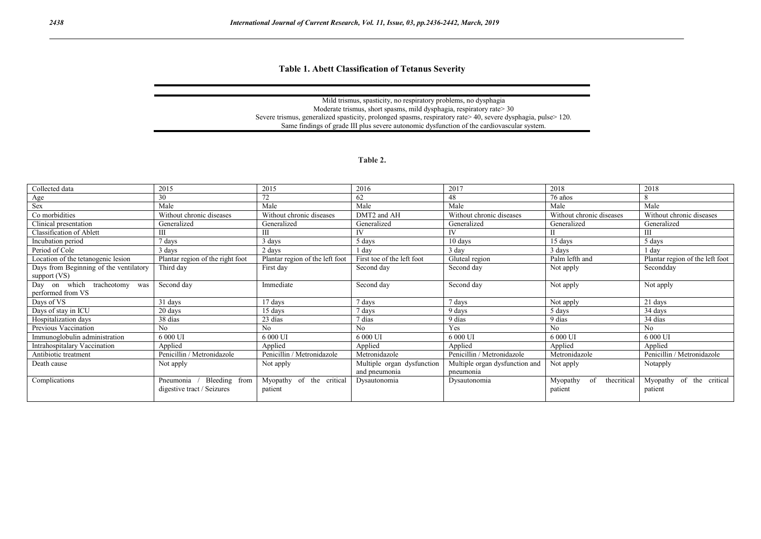**Table 1. Abett Classification of Tetanus Severity**

Grade Clinical features

#### Mild trismus, spasticity, no respiratory problems, no dysphagia Moderate trismus, short spasms, mild dysphagia, respiratory rate> 30 Severe trismus, generalized spasticity, prolonged spasms, respiratory rate> 40, severe dysphagia, pulse> 120. IV (aggressive) Same findings of grade III plus severe autonomic dysfunction of the cardiovascular system.

#### **Table 2.**

| Collected data                         | 2015                             | 2015                            | 2016                       | 2017                           | 2018                          | 2018                            |
|----------------------------------------|----------------------------------|---------------------------------|----------------------------|--------------------------------|-------------------------------|---------------------------------|
| Age                                    | 30                               | 72                              | 62                         | 48                             | 76 años                       | 8                               |
| Sex                                    | Male                             | Male                            | Male                       | Male                           | Male                          | Male                            |
| Co morbidities                         | Without chronic diseases         | Without chronic diseases        | DMT2 and AH                | Without chronic diseases       | Without chronic diseases      | Without chronic diseases        |
| Clinical presentation                  | Generalized                      | Generalized                     | Generalized                | Generalized                    | Generalized                   | Generalized                     |
| Classification of Ablett               |                                  | Ш                               | IV                         | <b>IV</b>                      |                               | Ш                               |
| Incubation period                      | ' days                           | 3 days                          | 5 days                     | $10 \text{ days}$              | 15 days                       | 5 days                          |
| Period of Cole                         | 3 days                           | 2 days                          | dav                        | 3 day                          | 3 days                        | 1 day                           |
| Location of the tetanogenic lesion     | Plantar region of the right foot | Plantar region of the left foot | First toe of the left foot | Gluteal region                 | Palm lefth and                | Plantar region of the left foot |
| Days from Beginning of the ventilatory | Third day                        | First day                       | Second day                 | Second day                     | Not apply                     | Secondday                       |
| support (VS)                           |                                  |                                 |                            |                                |                               |                                 |
| Day on which tracheotomy<br>was        | Second day                       | Immediate                       | Second day                 | Second day                     | Not apply                     | Not apply                       |
| performed from VS                      |                                  |                                 |                            |                                |                               |                                 |
| Days of VS                             | 31 days                          | 17 days                         | 7 days                     | 7 days                         | Not apply                     | 21 days                         |
| Days of stay in ICU                    | 20 days                          | 15 days                         | 7 days                     | 9 days                         | 5 days                        | 34 days                         |
| Hospitalization days                   | 38 días                          | 23 días                         | 7 días                     | 9 días                         | 9 días                        | 34 días                         |
| Previous Vaccination                   | N <sub>o</sub>                   | N <sub>o</sub>                  | N <sub>o</sub>             | Yes                            | N <sub>o</sub>                | No.                             |
| Immunoglobulin administration          | 6 000 UI                         | 6 000 UI                        | 6 000 UI                   | 6000U                          | 6 000 UI                      | 6 000 UI                        |
| Intrahospitalary Vaccination           | Applied                          | Applied                         | Applied                    | Applied                        | Applied                       | Applied                         |
| Antibiotic treatment                   | Penicillin / Metronidazole       | Penicillin / Metronidazole      | Metronidazole              | Penicillin / Metronidazole     | Metronidazole                 | Penicillin / Metronidazole      |
| Death cause                            | Not apply                        | Not apply                       | Multiple organ dysfunction | Multiple organ dysfunction and | Not apply                     | Notapply                        |
|                                        |                                  |                                 | and pneumonia              | pneumonia                      |                               |                                 |
| Complications                          | Bleeding from<br>Pneumonia       | Myopathy of the critical        | Dysautonomia               | Dysautonomia                   | thecritical<br>Myopathy<br>of | Myopathy of the critical        |
|                                        | digestive tract / Seizures       | patient                         |                            |                                | patient                       | patient                         |
|                                        |                                  |                                 |                            |                                |                               |                                 |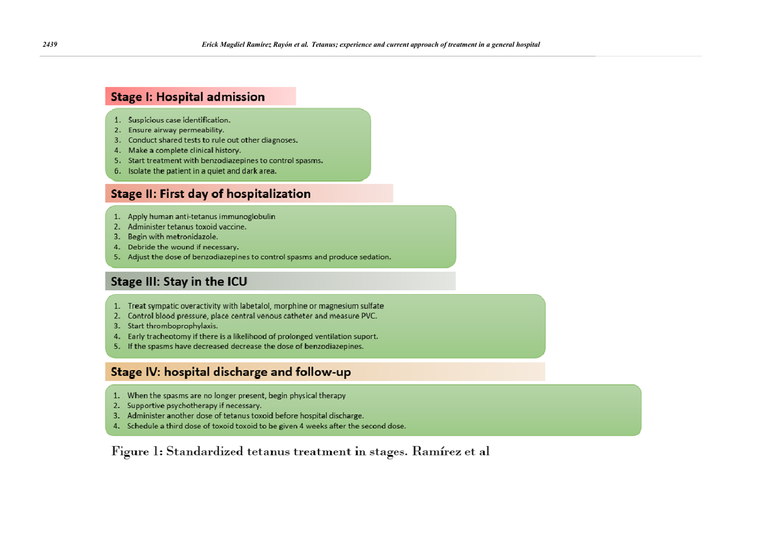## **Stage I: Hospital admission**

- 1. Suspicious case identification.
- 2. Ensure airway permeability.
- 3. Conduct shared tests to rule out other diagnoses.
- 4. Make a complete clinical history.
- 5. Start treatment with benzodiazepines to control spasms.
- 6. Isolate the patient in a quiet and dark area.

# **Stage II: First day of hospitalization**

- 1. Apply human anti-tetanus immunoglobulin
- 2. Administer tetanus toxoid vaccine.
- 3. Begin with metronidazole.
- 4. Debride the wound if necessary.
- 5. Adjust the dose of benzodiazepines to control spasms and produce sedation.

# **Stage III: Stay in the ICU**

- 1. Treat sympatic overactivity with labetalol, morphine or magnesium sulfate
- 2. Control blood pressure, place central venous catheter and measure PVC.
- 3. Start thromboprophylaxis.
- 4. Early tracheotomy if there is a likelihood of prolonged ventilation suport.
- 5. If the spasms have decreased decrease the dose of benzodiazepines.

## Stage IV: hospital discharge and follow-up

- 1. When the spasms are no longer present, begin physical therapy
- 2. Supportive psychotherapy if necessary.
- 3. Administer another dose of tetanus toxoid before hospital discharge.
- 4. Schedule a third dose of toxoid toxoid to be given 4 weeks after the second dose.

Figure 1: Standardized tetanus treatment in stages. Ramírez et al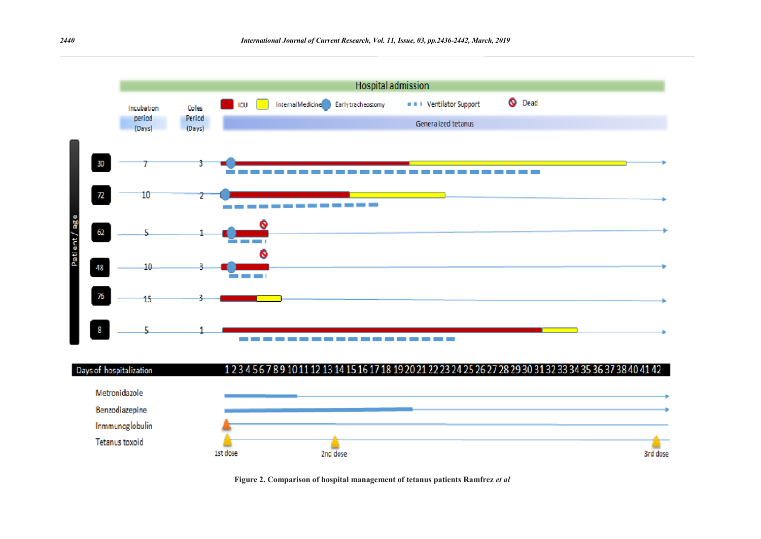



**Figure 2. Comparison of hospital management of tetanus patients Ramfrez** *et al*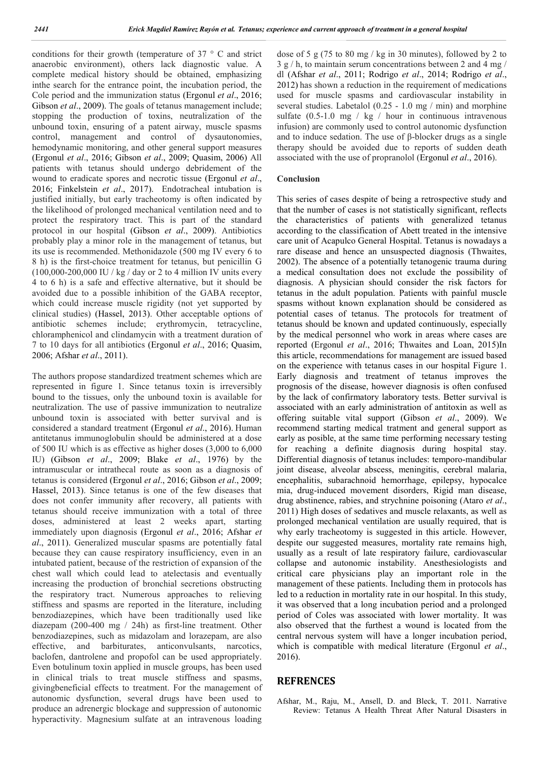conditions for their growth (temperature of 37 ° C and strict anaerobic environment), others lack diagnostic value. A complete medical history should be obtained, emphasizing inthe search for the entrance point, the incubation period, the Cole period and the immunization status (Ergonul *et al*., 2016; Gibson *et al.*, 2009). The goals of tetanus management include; stopping the production of toxins, neutralization of the unbound toxin, ensuring of a patent airway, muscle spasms control, management and control of dysautonomies, hemodynamic monitoring, and other general support measures (Ergonul *et al*., 2016; Gibson *et al*., 2009; Quasim, 2006) All patients with tetanus should undergo debridement of the wound to eradicate spores and necrotic tissue (Ergonul *et al*., 2016; Finkelstein *et al*., 2017). Endotracheal intubation is justified initially, but early tracheotomy is often indicated by the likelihood of prolonged mechanical ventilation need and to protect the respiratory tract. This is part of the standard protocol in our hospital (Gibson *et al*., 2009). Antibiotics probably play a minor role in the management of tetanus, but its use is recommended. Methonidazole (500 mg IV every 6 to 8 h) is the first-choice treatment for tetanus, but penicillin G  $(100,000-200,000 \text{ IU} / \text{ kg} / \text{ day or 2 to 4 million IV units every})$ 4 to 6 h) is a safe and effective alternative, but it should be avoided due to a possible inhibition of the GABA receptor, which could increase muscle rigidity (not yet supported by clinical studies) (Hassel, 2013). Other acceptable options of antibiotic schemes include; erythromycin, tetracycline, chloramphenicol and clindamycin with a treatment duration of 7 to 10 days for all antibiotics (Ergonul *et al*., 2016; Quasim, 2006; Afshar *et al*., 2011).

The authors propose standardized treatment schemes which are represented in figure 1. Since tetanus toxin is irreversibly bound to the tissues, only the unbound toxin is available for neutralization. The use of passive immunization to neutralize unbound toxin is associated with better survival and is considered a standard treatment (Ergonul *et al*., 2016). Human antitetanus immunoglobulin should be administered at a dose of 500 IU which is as effective as higher doses (3,000 to 6,000 IU) (Gibson *et al*., 2009; Blake *et al*., 1976) by the intramuscular or intrathecal route as soon as a diagnosis of tetanus is considered (Ergonul *et al*., 2016; Gibson *et al*., 2009; Hassel, 2013). Since tetanus is one of the few diseases that does not confer immunity after recovery, all patients with tetanus should receive immunization with a total of three doses, administered at least 2 weeks apart, starting immediately upon diagnosis (Ergonul *et al*., 2016; Afshar *et al*., 2011). Generalized muscular spasms are potentially fatal because they can cause respiratory insufficiency, even in an intubated patient, because of the restriction of expansion of the chest wall which could lead to atelectasis and eventually increasing the production of bronchial secretions obstructing the respiratory tract. Numerous approaches to relieving stiffness and spasms are reported in the literature, including benzodiazepines, which have been traditionally used like diazepam (200-400 mg / 24h) as first-line treatment. Other benzodiazepines, such as midazolam and lorazepam, are also effective, and barbiturates, anticonvulsants, narcotics, baclofen, dantrolene and propofol can be used appropriately. Even botulinum toxin applied in muscle groups, has been used in clinical trials to treat muscle stiffness and spasms, givingbeneficial effects to treatment. For the management of autonomic dysfunction, several drugs have been used to produce an adrenergic blockage and suppression of autonomic hyperactivity. Magnesium sulfate at an intravenous loading

dose of 5 g (75 to 80 mg / kg in 30 minutes), followed by 2 to 3 g / h, to maintain serum concentrations between 2 and 4 mg / dl (Afshar *et al*., 2011; Rodrigo *et al*., 2014; Rodrigo *et al*., 2012) has shown a reduction in the requirement of medications used for muscle spasms and cardiovascular instability in several studies. Labetalol (0.25 - 1.0 mg / min) and morphine sulfate  $(0.5-1.0 \text{ mg} / \text{kg} / \text{hour in continuous intravenous})$ infusion) are commonly used to control autonomic dysfunction and to induce sedation. The use of β-blocker drugs as a single therapy should be avoided due to reports of sudden death associated with the use of propranolol (Ergonul *et al*., 2016).

#### **Conclusion**

This series of cases despite of being a retrospective study and that the number of cases is not statistically significant, reflects the characteristics of patients with generalized tetanus according to the classification of Abett treated in the intensive care unit of Acapulco General Hospital. Tetanus is nowadays a rare disease and hence an unsuspected diagnosis (Thwaites, 2002). The absence of a potentially tetanogenic trauma during a medical consultation does not exclude the possibility of diagnosis. A physician should consider the risk factors for tetanus in the adult population. Patients with painful muscle spasms without known explanation should be considered as potential cases of tetanus. The protocols for treatment of tetanus should be known and updated continuously, especially by the medical personnel who work in areas where cases are reported (Ergonul *et al*., 2016; Thwaites and Loan, 2015)In this article, recommendations for management are issued based on the experience with tetanus cases in our hospital Figure 1. Early diagnosis and treatment of tetanus improves the prognosis of the disease, however diagnosis is often confused by the lack of confirmatory laboratory tests. Better survival is associated with an early administration of antitoxin as well as offering suitable vital support (Gibson *et al*., 2009). We recommend starting medical tratment and general support as early as posible, at the same time performing necessary testing for reaching a definite diagnosis during hospital stay. Differential diagnosis of tetanus includes: temporo-mandibular joint disease, alveolar abscess, meningitis, cerebral malaria, encephalitis, subarachnoid hemorrhage, epilepsy, hypocalce mia, drug-induced movement disorders, Rigid man disease, drug abstinence, rabies, and strychnine poisoning (Ataro *et al*., 2011) High doses of sedatives and muscle relaxants, as well as prolonged mechanical ventilation are usually required, that is why early tracheotomy is suggested in this article. However, despite our suggested measures, mortality rate remains high, usually as a result of late respiratory failure, cardiovascular collapse and autonomic instability. Anesthesiologists and critical care physicians play an important role in the management of these patients. Including them in protocols has led to a reduction in mortality rate in our hospital. In this study, it was observed that a long incubation period and a prolonged period of Coles was associated with lower mortality. It was also observed that the furthest a wound is located from the central nervous system will have a longer incubation period, which is compatible with medical literature (Ergonul *et al*., 2016).

### **REFRENCES**

Afshar, M., Raju, M., Ansell, D. and Bleck, T. 2011. Narrative Review: Tetanus A Health Threat After Natural Disasters in